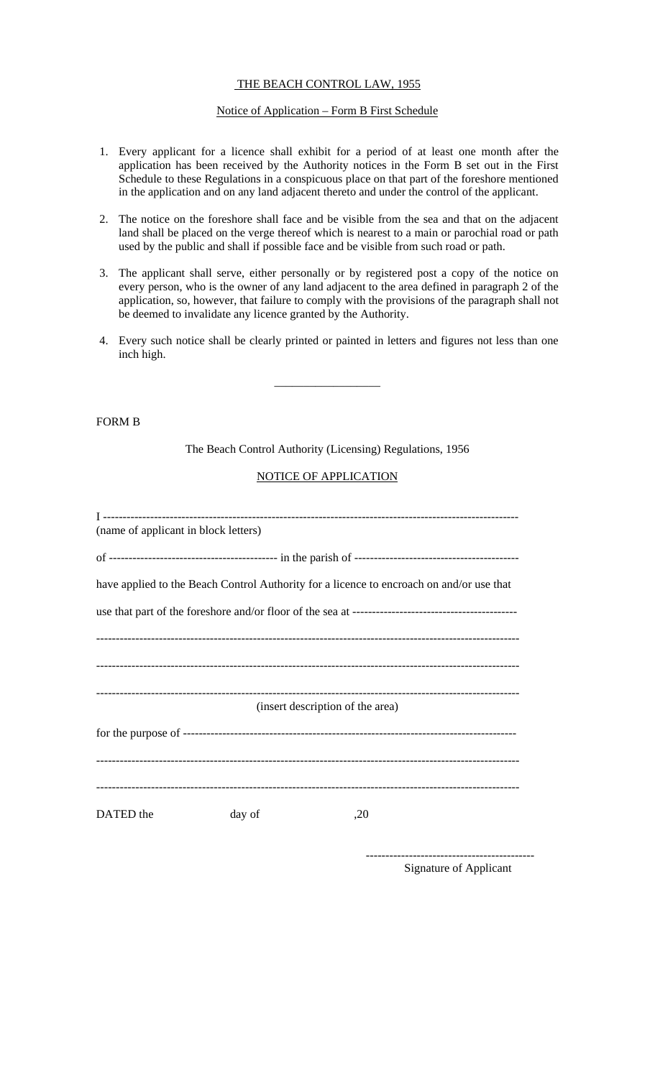# THE BEACH CONTROL LAW, 1955

#### Notice of Application – Form B First Schedule

- 1. Every applicant for a licence shall exhibit for a period of at least one month after the application has been received by the Authority notices in the Form B set out in the First Schedule to these Regulations in a conspicuous place on that part of the foreshore mentioned in the application and on any land adjacent thereto and under the control of the applicant.
- 2. The notice on the foreshore shall face and be visible from the sea and that on the adjacent land shall be placed on the verge thereof which is nearest to a main or parochial road or path used by the public and shall if possible face and be visible from such road or path.
- 3. The applicant shall serve, either personally or by registered post a copy of the notice on every person, who is the owner of any land adjacent to the area defined in paragraph 2 of the application, so, however, that failure to comply with the provisions of the paragraph shall not be deemed to invalidate any licence granted by the Authority.
- 4. Every such notice shall be clearly printed or painted in letters and figures not less than one inch high.

\_\_\_\_\_\_\_\_\_\_\_\_\_\_\_\_\_\_

## FORM B

The Beach Control Authority (Licensing) Regulations, 1956

## NOTICE OF APPLICATION

| (name of applicant in block letters)                                                     |        |     |
|------------------------------------------------------------------------------------------|--------|-----|
|                                                                                          |        |     |
| have applied to the Beach Control Authority for a licence to encroach on and/or use that |        |     |
|                                                                                          |        |     |
|                                                                                          |        |     |
|                                                                                          |        |     |
| (insert description of the area)                                                         |        |     |
|                                                                                          |        |     |
|                                                                                          |        |     |
| DATED the                                                                                | day of | ,20 |

------------------------------------------- Signature of Applicant